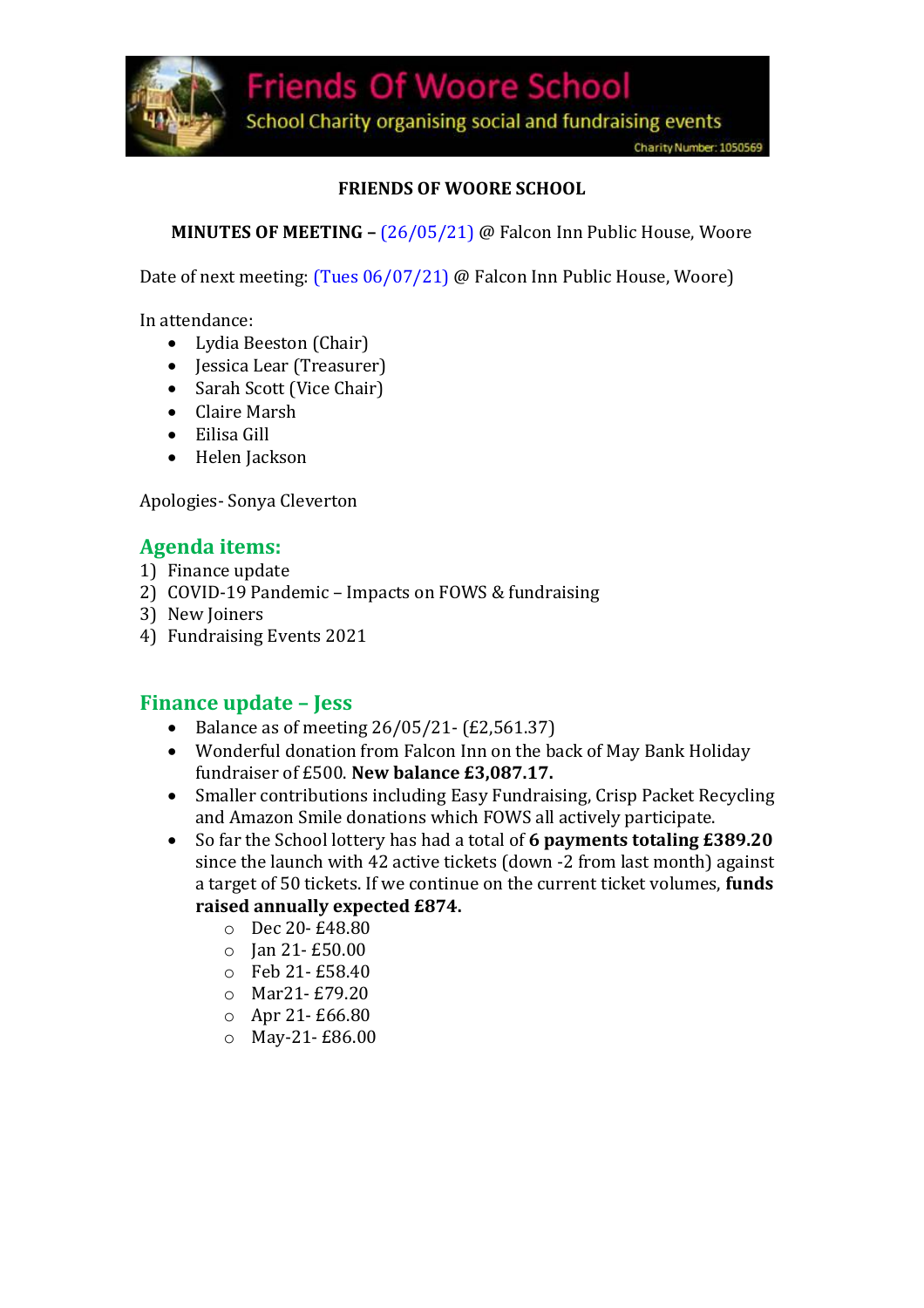

School Charity organising social and fundraising events

### **FRIENDS OF WOORE SCHOOL**

**MINUTES OF MEETING –** (26/05/21) @ Falcon Inn Public House, Woore

Date of next meeting: (Tues 06/07/21) @ Falcon Inn Public House, Woore)

In attendance:

- Lydia Beeston (Chair)
- Jessica Lear (Treasurer)
- Sarah Scott (Vice Chair)
- Claire Marsh
- Eilisa Gill
- Helen Jackson

Apologies- Sonya Cleverton

## **Agenda items:**

- 1) Finance update
- 2) COVID-19 Pandemic Impacts on FOWS & fundraising
- 3) New Joiners
- 4) Fundraising Events 2021

### **Finance update – Jess**

- Balance as of meeting  $26/05/21 (E2, 561.37)$
- Wonderful donation from Falcon Inn on the back of May Bank Holiday fundraiser of £500. **New balance £3,087.17.**
- Smaller contributions including Easy Fundraising, Crisp Packet Recycling and Amazon Smile donations which FOWS all actively participate.
- So far the School lottery has had a total of **6 payments totaling £389.20** since the launch with 42 active tickets (down -2 from last month) against a target of 50 tickets. If we continue on the current ticket volumes, **funds raised annually expected £874.** 
	- o Dec 20- £48.80
	- o Jan 21- £50.00
	- o Feb 21- £58.40
	- o Mar21- £79.20
	- o Apr 21- £66.80
	- o May-21- £86.00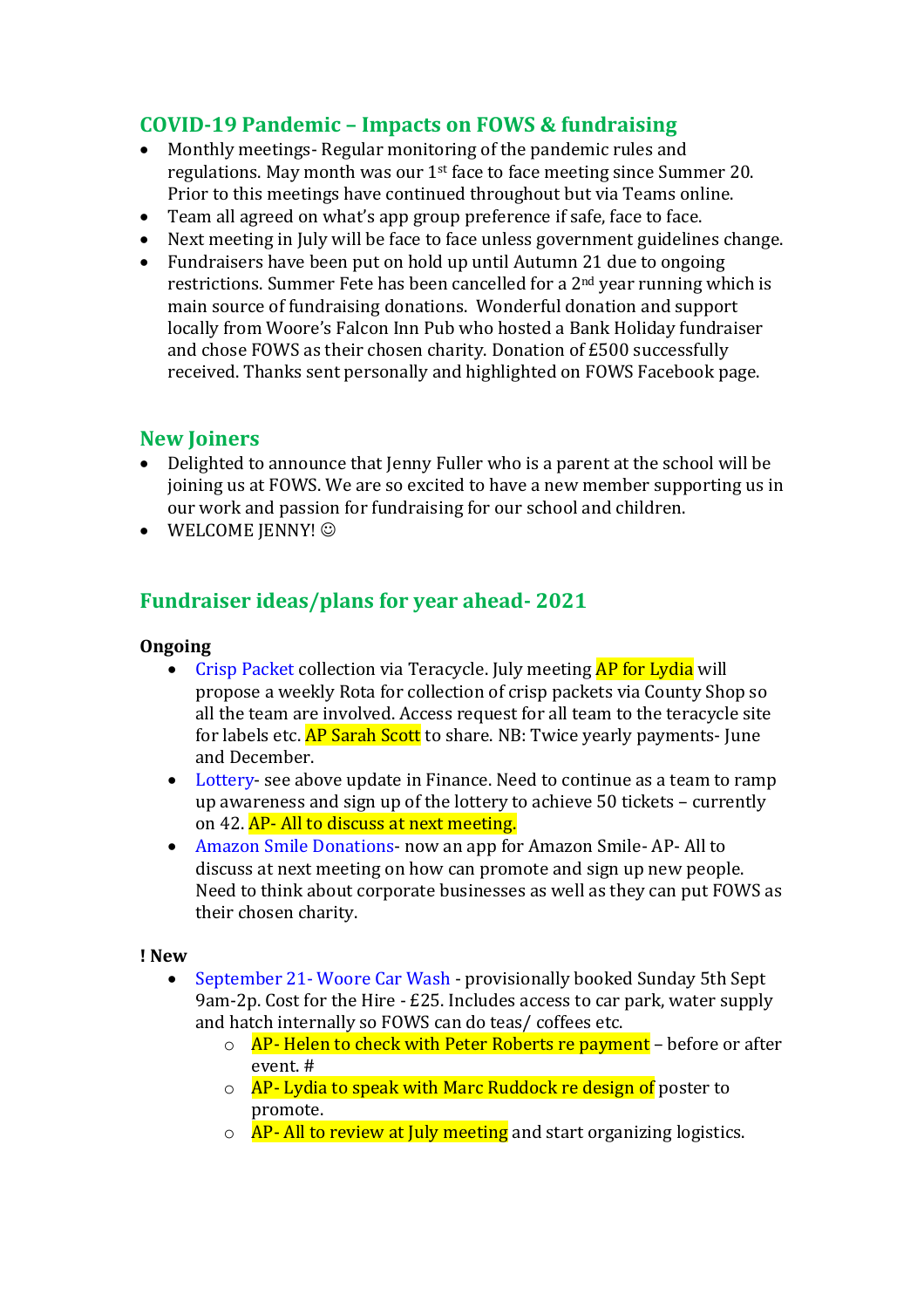# **COVID-19 Pandemic – Impacts on FOWS & fundraising**

- Monthly meetings- Regular monitoring of the pandemic rules and regulations. May month was our 1st face to face meeting since Summer 20. Prior to this meetings have continued throughout but via Teams online.
- Team all agreed on what's app group preference if safe, face to face.
- Next meeting in July will be face to face unless government guidelines change.
- Fundraisers have been put on hold up until Autumn 21 due to ongoing restrictions. Summer Fete has been cancelled for a 2nd year running which is main source of fundraising donations. Wonderful donation and support locally from Woore's Falcon Inn Pub who hosted a Bank Holiday fundraiser and chose FOWS as their chosen charity. Donation of £500 successfully received. Thanks sent personally and highlighted on FOWS Facebook page.

## **New Joiners**

- Delighted to announce that Jenny Fuller who is a parent at the school will be joining us at FOWS. We are so excited to have a new member supporting us in our work and passion for fundraising for our school and children.
- $\bullet$  WELCOME JENNY!  $\odot$

# **Fundraiser ideas/plans for year ahead- 2021**

#### **Ongoing**

- Crisp Packet collection via Teracycle. July meeting AP for Lydia will propose a weekly Rota for collection of crisp packets via County Shop so all the team are involved. Access request for all team to the teracycle site for labels etc. AP Sarah Scott to share. NB: Twice yearly payments- June and December.
- Lottery- see above update in Finance. Need to continue as a team to ramp up awareness and sign up of the lottery to achieve 50 tickets – currently on 42. AP- All to discuss at next meeting.
- Amazon Smile Donations- now an app for Amazon Smile- AP- All to discuss at next meeting on how can promote and sign up new people. Need to think about corporate businesses as well as they can put FOWS as their chosen charity.

#### **! New**

- September 21- Woore Car Wash provisionally booked Sunday 5th Sept 9am-2p. Cost for the Hire - £25. Includes access to car park, water supply and hatch internally so FOWS can do teas/ coffees etc.
	- $\circ$  AP- Helen to check with Peter Roberts re payment before or after event. #
	- $\circ$  AP- Lydia to speak with Marc Ruddock re design of poster to promote.
	- $\circ$  AP- All to review at July meeting and start organizing logistics.